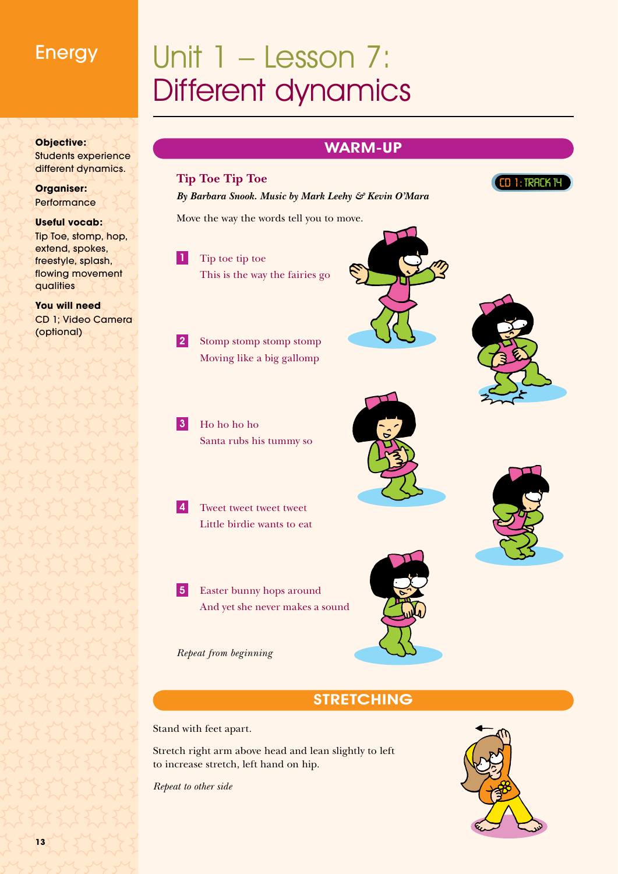## Energy

# Different dynamics

#### **Objective:** Students experience different dynamics.

**Organiser: Performance** 

#### **Useful vocab:** Tip Toe, stomp, hop, extend, spokes, freestyle, splash, flowing movement qualities

**You will need** CD 1; Video Camera (optional)

## Warm-Up



## **STRETCHING**

Stand with feet apart.

Stretch right arm above head and lean slightly to left to increase stretch, left hand on hip.

*Repeat to other side*